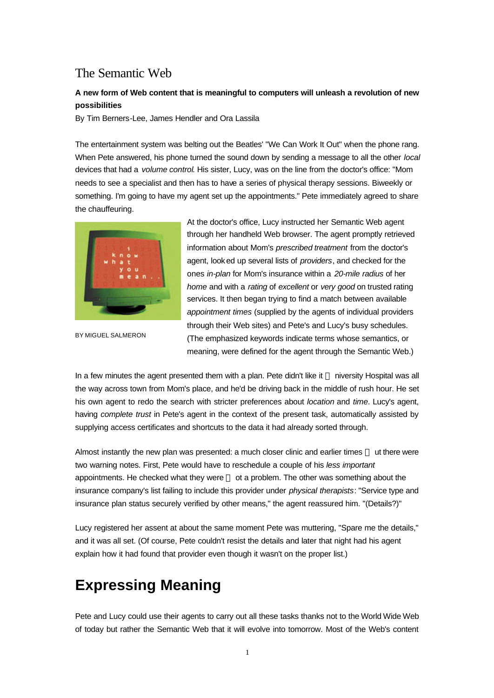### The Semantic Web

#### **A new form of Web content that is meaningful to computers will unleash a revolution of new possibilities**

By Tim Berners-Lee, James Hendler and Ora Lassila

The entertainment system was belting out the Beatles' "We Can Work It Out" when the phone rang. When Pete answered, his phone turned the sound down by sending a message to all the other *local* devices that had a *volume control*. His sister, Lucy, was on the line from the doctor's office: "Mom needs to see a specialist and then has to have a series of physical therapy sessions. Biweekly or something. I'm going to have my agent set up the appointments." Pete immediately agreed to share the chauffeuring.



BY MIGUEL SALMERON

At the doctor's office, Lucy instructed her Semantic Web agent through her handheld Web browser. The agent promptly retrieved information about Mom's *prescribed treatment* from the doctor's agent, looked up several lists of *providers*, and checked for the ones *in-plan* for Mom's insurance within a *20-mile radius* of her *home* and with a *rating* of *excellent* or *very good* on trusted rating services. It then began trying to find a match between available *appointment times* (supplied by the agents of individual providers through their Web sites) and Pete's and Lucy's busy schedules. (The emphasized keywords indicate terms whose semantics, or meaning, were defined for the agent through the Semantic Web.)

In a few minutes the agent presented them with a plan. Pete didn't like it niversity Hospital was all the way across town from Mom's place, and he'd be driving back in the middle of rush hour. He set his own agent to redo the search with stricter preferences about *location* and *time*. Lucy's agent, having *complete trust* in Pete's agent in the context of the present task, automatically assisted by supplying access certificates and shortcuts to the data it had already sorted through.

Almost instantly the new plan was presented: a much closer clinic and earlier times ut there were two warning notes. First, Pete would have to reschedule a couple of his *less important* appointments. He checked what they were ot a problem. The other was something about the insurance company's list failing to include this provider under *physical therapists*: "Service type and insurance plan status securely verified by other means," the agent reassured him. "(Details?)"

Lucy registered her assent at about the same moment Pete was muttering, "Spare me the details," and it was all set. (Of course, Pete couldn't resist the details and later that night had his agent explain how it had found that provider even though it wasn't on the proper list.)

# **Expressing Meaning**

Pete and Lucy could use their agents to carry out all these tasks thanks not to the World Wide Web of today but rather the Semantic Web that it will evolve into tomorrow. Most of the Web's content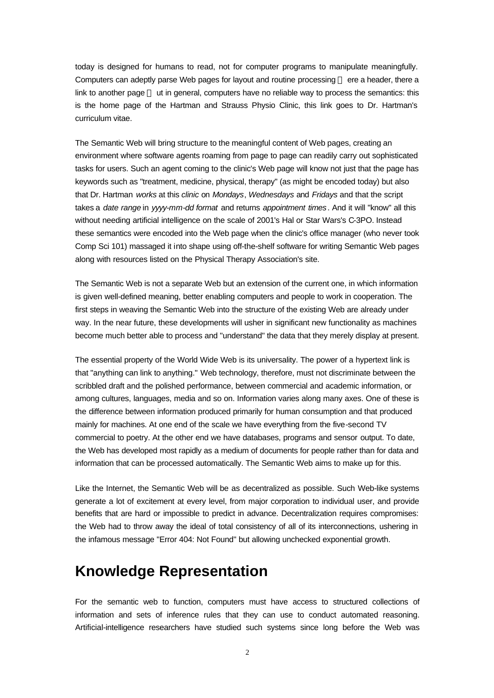today is designed for humans to read, not for computer programs to manipulate meaningfully. Computers can adeptly parse Web pages for layout and routine processing ere a header, there a link to another page ut in general, computers have no reliable way to process the semantics: this is the home page of the Hartman and Strauss Physio Clinic, this link goes to Dr. Hartman's curriculum vitae.

The Semantic Web will bring structure to the meaningful content of Web pages, creating an environment where software agents roaming from page to page can readily carry out sophisticated tasks for users. Such an agent coming to the clinic's Web page will know not just that the page has keywords such as "treatment, medicine, physical, therapy" (as might be encoded today) but also that Dr. Hartman *works* at this *clinic* on *Mondays*, *Wednesdays* and *Fridays* and that the script takes a *date range* in *yyyy-mm-dd format* and returns *appointment times*. And it will "know" all this without needing artificial intelligence on the scale of 2001's Hal or Star Wars's C-3PO. Instead these semantics were encoded into the Web page when the clinic's office manager (who never took Comp Sci 101) massaged it into shape using off-the-shelf software for writing Semantic Web pages along with resources listed on the Physical Therapy Association's site.

The Semantic Web is not a separate Web but an extension of the current one, in which information is given well-defined meaning, better enabling computers and people to work in cooperation. The first steps in weaving the Semantic Web into the structure of the existing Web are already under way. In the near future, these developments will usher in significant new functionality as machines become much better able to process and "understand" the data that they merely display at present.

The essential property of the World Wide Web is its universality. The power of a hypertext link is that "anything can link to anything." Web technology, therefore, must not discriminate between the scribbled draft and the polished performance, between commercial and academic information, or among cultures, languages, media and so on. Information varies along many axes. One of these is the difference between information produced primarily for human consumption and that produced mainly for machines. At one end of the scale we have everything from the five-second TV commercial to poetry. At the other end we have databases, programs and sensor output. To date, the Web has developed most rapidly as a medium of documents for people rather than for data and information that can be processed automatically. The Semantic Web aims to make up for this.

Like the Internet, the Semantic Web will be as decentralized as possible. Such Web-like systems generate a lot of excitement at every level, from major corporation to individual user, and provide benefits that are hard or impossible to predict in advance. Decentralization requires compromises: the Web had to throw away the ideal of total consistency of all of its interconnections, ushering in the infamous message "Error 404: Not Found" but allowing unchecked exponential growth.

### **Knowledge Representation**

For the semantic web to function, computers must have access to structured collections of information and sets of inference rules that they can use to conduct automated reasoning. Artificial-intelligence researchers have studied such systems since long before the Web was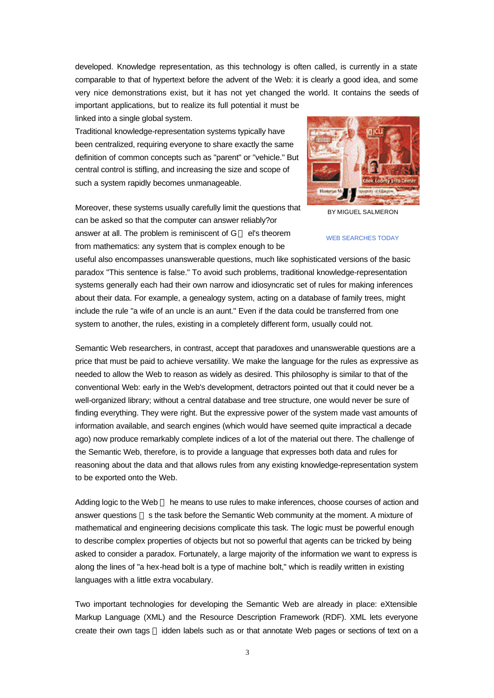developed. Knowledge representation, as this technology is often called, is currently in a state comparable to that of hypertext before the advent of the Web: it is clearly a good idea, and some very nice demonstrations exist, but it has not yet changed the world. It contains the seeds of important applications, but to realize its full potential it must be

linked into a single global system.

Traditional knowledge-representation systems typically have been centralized, requiring everyone to share exactly the same definition of common concepts such as "parent" or "vehicle." But central control is stifling, and increasing the size and scope of such a system rapidly becomes unmanageable.





BY MIGUEL SALMERON

#### WEB SEARCHES TODAY

useful also encompasses unanswerable questions, much like sophisticated versions of the basic paradox "This sentence is false." To avoid such problems, traditional knowledge-representation systems generally each had their own narrow and idiosyncratic set of rules for making inferences about their data. For example, a genealogy system, acting on a database of family trees, might include the rule "a wife of an uncle is an aunt." Even if the data could be transferred from one system to another, the rules, existing in a completely different form, usually could not.

Semantic Web researchers, in contrast, accept that paradoxes and unanswerable questions are a price that must be paid to achieve versatility. We make the language for the rules as expressive as needed to allow the Web to reason as widely as desired. This philosophy is similar to that of the conventional Web: early in the Web's development, detractors pointed out that it could never be a well-organized library; without a central database and tree structure, one would never be sure of finding everything. They were right. But the expressive power of the system made vast amounts of information available, and search engines (which would have seemed quite impractical a decade ago) now produce remarkably complete indices of a lot of the material out there. The challenge of the Semantic Web, therefore, is to provide a language that expresses both data and rules for reasoning about the data and that allows rules from any existing knowledge-representation system to be exported onto the Web.

Adding logic to the Web he means to use rules to make inferences, choose courses of action and answer questions s the task before the Semantic Web community at the moment. A mixture of mathematical and engineering decisions complicate this task. The logic must be powerful enough to describe complex properties of objects but not so powerful that agents can be tricked by being asked to consider a paradox. Fortunately, a large majority of the information we want to express is along the lines of "a hex-head bolt is a type of machine bolt," which is readily written in existing languages with a little extra vocabulary.

Two important technologies for developing the Semantic Web are already in place: eXtensible Markup Language (XML) and the Resource Description Framework (RDF). XML lets everyone create their own tags idden labels such as or that annotate Web pages or sections of text on a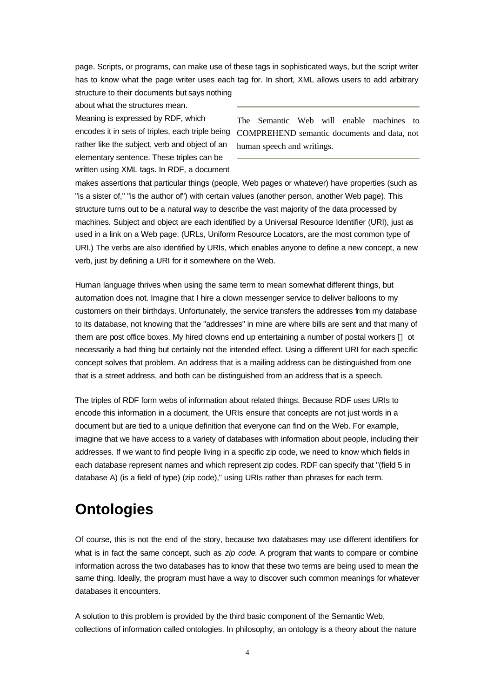page. Scripts, or programs, can make use of these tags in sophisticated ways, but the script writer has to know what the page writer uses each tag for. In short, XML allows users to add arbitrary structure to their documents but says nothing

about what the structures mean.

Meaning is expressed by RDF, which encodes it in sets of triples, each triple being rather like the subject, verb and object of an elementary sentence. These triples can be written using XML tags. In RDF, a document

The Semantic Web will enable machines to COMPREHEND semantic documents and data, not human speech and writings.

makes assertions that particular things (people, Web pages or whatever) have properties (such as "is a sister of," "is the author of") with certain values (another person, another Web page). This structure turns out to be a natural way to describe the vast majority of the data processed by machines. Subject and object are each identified by a Universal Resource Identifier (URI), just as used in a link on a Web page. (URLs, Uniform Resource Locators, are the most common type of URI.) The verbs are also identified by URIs, which enables anyone to define a new concept, a new verb, just by defining a URI for it somewhere on the Web.

Human language thrives when using the same term to mean somewhat different things, but automation does not. Imagine that I hire a clown messenger service to deliver balloons to my customers on their birthdays. Unfortunately, the service transfers the addresses from my database to its database, not knowing that the "addresses" in mine are where bills are sent and that many of them are post office boxes. My hired clowns end up entertaining a number of postal workers necessarily a bad thing but certainly not the intended effect. Using a different URI for each specific concept solves that problem. An address that is a mailing address can be distinguished from one that is a street address, and both can be distinguished from an address that is a speech.

The triples of RDF form webs of information about related things. Because RDF uses URIs to encode this information in a document, the URIs ensure that concepts are not just words in a document but are tied to a unique definition that everyone can find on the Web. For example, imagine that we have access to a variety of databases with information about people, including their addresses. If we want to find people living in a specific zip code, we need to know which fields in each database represent names and which represent zip codes. RDF can specify that "(field 5 in database A) (is a field of type) (zip code)," using URIs rather than phrases for each term.

# **Ontologies**

Of course, this is not the end of the story, because two databases may use different identifiers for what is in fact the same concept, such as *zip code*. A program that wants to compare or combine information across the two databases has to know that these two terms are being used to mean the same thing. Ideally, the program must have a way to discover such common meanings for whatever databases it encounters.

A solution to this problem is provided by the third basic component of the Semantic Web, collections of information called ontologies. In philosophy, an ontology is a theory about the nature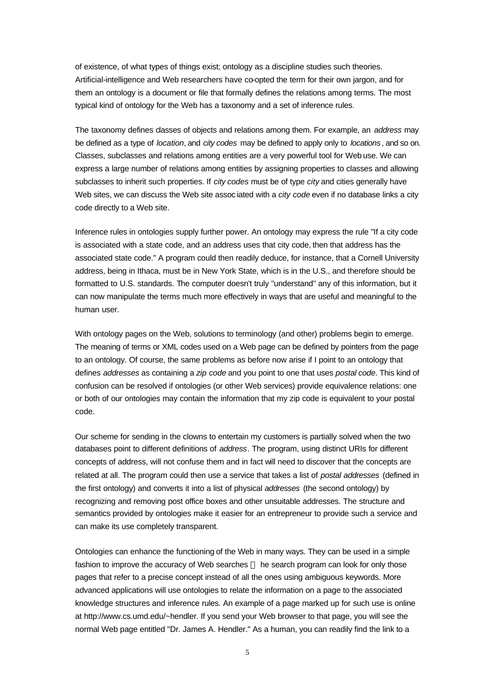of existence, of what types of things exist; ontology as a discipline studies such theories. Artificial-intelligence and Web researchers have co-opted the term for their own jargon, and for them an ontology is a document or file that formally defines the relations among terms. The most typical kind of ontology for the Web has a taxonomy and a set of inference rules.

The taxonomy defines classes of objects and relations among them. For example, an *address* may be defined as a type of *location*, and *city codes* may be defined to apply only to *locations* , and so on. Classes, subclasses and relations among entities are a very powerful tool for Web use. We can express a large number of relations among entities by assigning properties to classes and allowing subclasses to inherit such properties. If *city codes* must be of type *city* and cities generally have Web sites, we can discuss the Web site assoc iated with a *city code* even if no database links a city code directly to a Web site.

Inference rules in ontologies supply further power. An ontology may express the rule "If a city code is associated with a state code, and an address uses that city code, then that address has the associated state code." A program could then readily deduce, for instance, that a Cornell University address, being in Ithaca, must be in New York State, which is in the U.S., and therefore should be formatted to U.S. standards. The computer doesn't truly "understand" any of this information, but it can now manipulate the terms much more effectively in ways that are useful and meaningful to the human user.

With ontology pages on the Web, solutions to terminology (and other) problems begin to emerge. The meaning of terms or XML codes used on a Web page can be defined by pointers from the page to an ontology. Of course, the same problems as before now arise if I point to an ontology that defines *addresses* as containing a *zip code* and you point to one that uses *postal code*. This kind of confusion can be resolved if ontologies (or other Web services) provide equivalence relations: one or both of our ontologies may contain the information that my zip code is equivalent to your postal code.

Our scheme for sending in the clowns to entertain my customers is partially solved when the two databases point to different definitions of *address*. The program, using distinct URIs for different concepts of address, will not confuse them and in fact will need to discover that the concepts are related at all. The program could then use a service that takes a list of *postal addresses* (defined in the first ontology) and converts it into a list of physical *addresses* (the second ontology) by recognizing and removing post office boxes and other unsuitable addresses. The structure and semantics provided by ontologies make it easier for an entrepreneur to provide such a service and can make its use completely transparent.

Ontologies can enhance the functioning of the Web in many ways. They can be used in a simple fashion to improve the accuracy of Web searches he search program can look for only those pages that refer to a precise concept instead of all the ones using ambiguous keywords. More advanced applications will use ontologies to relate the information on a page to the associated knowledge structures and inference rules. An example of a page marked up for such use is online at http://www.cs.umd.edu/~hendler. If you send your Web browser to that page, you will see the normal Web page entitled "Dr. James A. Hendler." As a human, you can readily find the link to a

5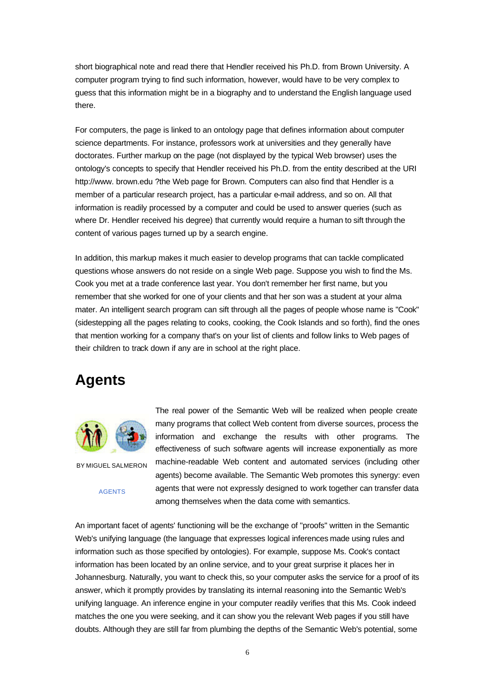short biographical note and read there that Hendler received his Ph.D. from Brown University. A computer program trying to find such information, however, would have to be very complex to guess that this information might be in a biography and to understand the English language used there.

For computers, the page is linked to an ontology page that defines information about computer science departments. For instance, professors work at universities and they generally have doctorates. Further markup on the page (not displayed by the typical Web browser) uses the ontology's concepts to specify that Hendler received his Ph.D. from the entity described at the URI http://www. brown.edu ?the Web page for Brown. Computers can also find that Hendler is a member of a particular research project, has a particular e-mail address, and so on. All that information is readily processed by a computer and could be used to answer queries (such as where Dr. Hendler received his degree) that currently would require a human to sift through the content of various pages turned up by a search engine.

In addition, this markup makes it much easier to develop programs that can tackle complicated questions whose answers do not reside on a single Web page. Suppose you wish to find the Ms. Cook you met at a trade conference last year. You don't remember her first name, but you remember that she worked for one of your clients and that her son was a student at your alma mater. An intelligent search program can sift through all the pages of people whose name is "Cook" (sidestepping all the pages relating to cooks, cooking, the Cook Islands and so forth), find the ones that mention working for a company that's on your list of clients and follow links to Web pages of their children to track down if any are in school at the right place.

# **Agents**



BY MIGUEL SALMERON

### AGENTS

The real power of the Semantic Web will be realized when people create many programs that collect Web content from diverse sources, process the information and exchange the results with other programs. The effectiveness of such software agents will increase exponentially as more machine-readable Web content and automated services (including other agents) become available. The Semantic Web promotes this synergy: even agents that were not expressly designed to work together can transfer data among themselves when the data come with semantics.

An important facet of agents' functioning will be the exchange of "proofs" written in the Semantic Web's unifying language (the language that expresses logical inferences made using rules and information such as those specified by ontologies). For example, suppose Ms. Cook's contact information has been located by an online service, and to your great surprise it places her in Johannesburg. Naturally, you want to check this, so your computer asks the service for a proof of its answer, which it promptly provides by translating its internal reasoning into the Semantic Web's unifying language. An inference engine in your computer readily verifies that this Ms. Cook indeed matches the one you were seeking, and it can show you the relevant Web pages if you still have doubts. Although they are still far from plumbing the depths of the Semantic Web's potential, some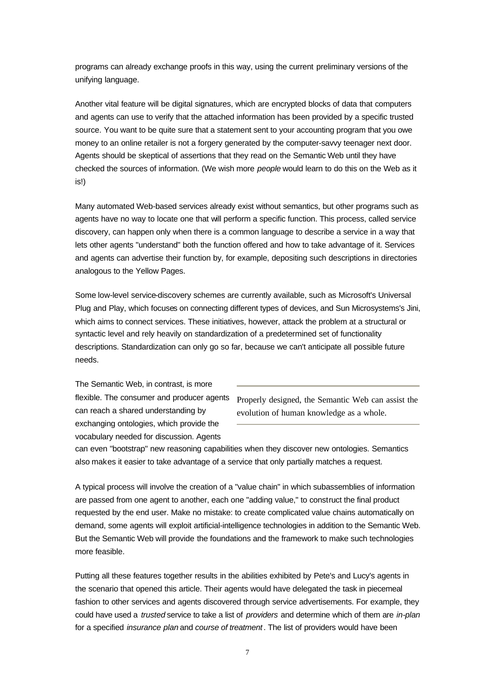programs can already exchange proofs in this way, using the current preliminary versions of the unifying language.

Another vital feature will be digital signatures, which are encrypted blocks of data that computers and agents can use to verify that the attached information has been provided by a specific trusted source. You want to be quite sure that a statement sent to your accounting program that you owe money to an online retailer is not a forgery generated by the computer-savvy teenager next door. Agents should be skeptical of assertions that they read on the Semantic Web until they have checked the sources of information. (We wish more *people* would learn to do this on the Web as it is!)

Many automated Web-based services already exist without semantics, but other programs such as agents have no way to locate one that will perform a specific function. This process, called service discovery, can happen only when there is a common language to describe a service in a way that lets other agents "understand" both the function offered and how to take advantage of it. Services and agents can advertise their function by, for example, depositing such descriptions in directories analogous to the Yellow Pages.

Some low-level service-discovery schemes are currently available, such as Microsoft's Universal Plug and Play, which focuses on connecting different types of devices, and Sun Microsystems's Jini, which aims to connect services. These initiatives, however, attack the problem at a structural or syntactic level and rely heavily on standardization of a predetermined set of functionality descriptions. Standardization can only go so far, because we can't anticipate all possible future needs.

The Semantic Web, in contrast, is more flexible. The consumer and producer agents can reach a shared understanding by exchanging ontologies, which provide the vocabulary needed for discussion. Agents

Properly designed, the Semantic Web can assist the evolution of human knowledge as a whole.

can even "bootstrap" new reasoning capabilities when they discover new ontologies. Semantics also makes it easier to take advantage of a service that only partially matches a request.

A typical process will involve the creation of a "value chain" in which subassemblies of information are passed from one agent to another, each one "adding value," to construct the final product requested by the end user. Make no mistake: to create complicated value chains automatically on demand, some agents will exploit artificial-intelligence technologies in addition to the Semantic Web. But the Semantic Web will provide the foundations and the framework to make such technologies more feasible.

Putting all these features together results in the abilities exhibited by Pete's and Lucy's agents in the scenario that opened this article. Their agents would have delegated the task in piecemeal fashion to other services and agents discovered through service advertisements. For example, they could have used a *trusted* service to take a list of *providers* and determine which of them are *in-plan* for a specified *insurance plan* and *course of treatment*. The list of providers would have been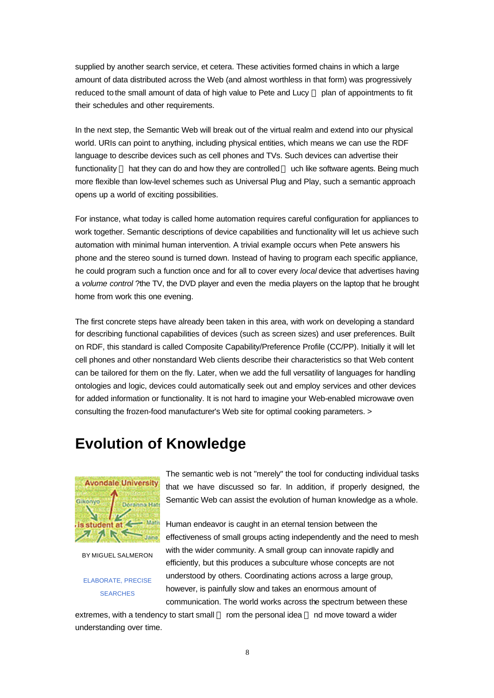supplied by another search service, et cetera. These activities formed chains in which a large amount of data distributed across the Web (and almost worthless in that form) was progressively reduced to the small amount of data of high value to Pete and Lucy plan of appointments to fit their schedules and other requirements.

In the next step, the Semantic Web will break out of the virtual realm and extend into our physical world. URIs can point to anything, including physical entities, which means we can use the RDF language to describe devices such as cell phones and TVs. Such devices can advertise their functionality hat they can do and how they are controlled uch like software agents. Being much more flexible than low-level schemes such as Universal Plug and Play, such a semantic approach opens up a world of exciting possibilities.

For instance, what today is called home automation requires careful configuration for appliances to work together. Semantic descriptions of device capabilities and functionality will let us achieve such automation with minimal human intervention. A trivial example occurs when Pete answers his phone and the stereo sound is turned down. Instead of having to program each specific appliance, he could program such a function once and for all to cover every *local* device that advertises having a *volume control* ?the TV, the DVD player and even the media players on the laptop that he brought home from work this one evening.

The first concrete steps have already been taken in this area, with work on developing a standard for describing functional capabilities of devices (such as screen sizes) and user preferences. Built on RDF, this standard is called Composite Capability/Preference Profile (CC/PP). Initially it will let cell phones and other nonstandard Web clients describe their characteristics so that Web content can be tailored for them on the fly. Later, when we add the full versatility of languages for handling ontologies and logic, devices could automatically seek out and employ services and other devices for added information or functionality. It is not hard to imagine your Web-enabled microwave oven consulting the frozen-food manufacturer's Web site for optimal cooking parameters. >

# **Evolution of Knowledge**



BY MIGUEL SALMERON

#### ELABORATE, PRECISE **SEARCHES**

The semantic web is not "merely" the tool for conducting individual tasks that we have discussed so far. In addition, if properly designed, the Semantic Web can assist the evolution of human knowledge as a whole.

Human endeavor is caught in an eternal tension between the effectiveness of small groups acting independently and the need to mesh with the wider community. A small group can innovate rapidly and efficiently, but this produces a subculture whose concepts are not understood by others. Coordinating actions across a large group, however, is painfully slow and takes an enormous amount of communication. The world works across the spectrum between these

extremes, with a tendency to start small rom the personal idea nd move toward a wider understanding over time.